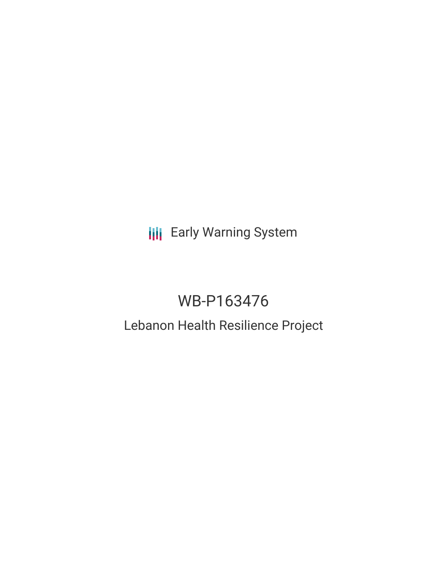## **III** Early Warning System

# WB-P163476

### Lebanon Health Resilience Project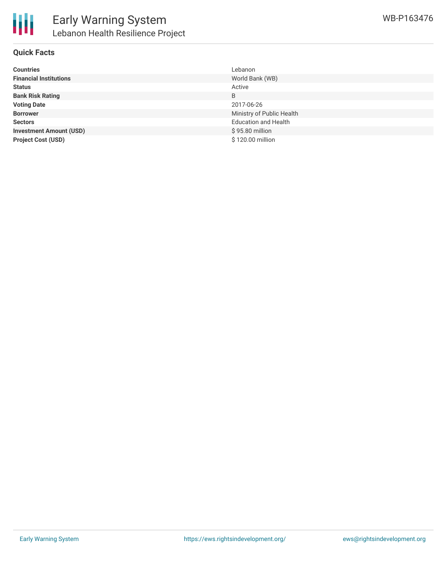

#### **Quick Facts**

| <b>Countries</b>               | Lebanon                     |
|--------------------------------|-----------------------------|
| <b>Financial Institutions</b>  | World Bank (WB)             |
| <b>Status</b>                  | Active                      |
| <b>Bank Risk Rating</b>        | B                           |
| <b>Voting Date</b>             | 2017-06-26                  |
| <b>Borrower</b>                | Ministry of Public Health   |
| <b>Sectors</b>                 | <b>Education and Health</b> |
| <b>Investment Amount (USD)</b> | \$95.80 million             |
| <b>Project Cost (USD)</b>      | \$120.00 million            |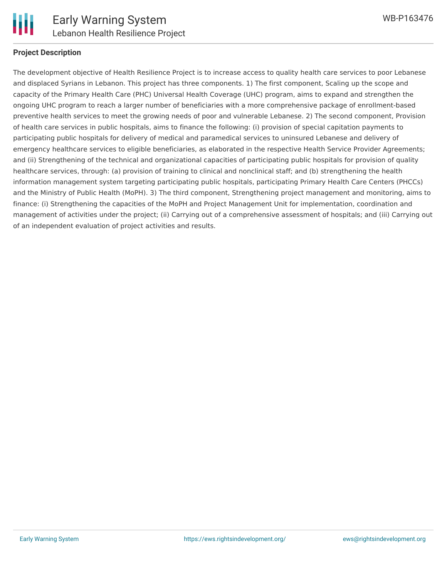

#### **Project Description**

The development objective of Health Resilience Project is to increase access to quality health care services to poor Lebanese and displaced Syrians in Lebanon. This project has three components. 1) The first component, Scaling up the scope and capacity of the Primary Health Care (PHC) Universal Health Coverage (UHC) program, aims to expand and strengthen the ongoing UHC program to reach a larger number of beneficiaries with a more comprehensive package of enrollment-based preventive health services to meet the growing needs of poor and vulnerable Lebanese. 2) The second component, Provision of health care services in public hospitals, aims to finance the following: (i) provision of special capitation payments to participating public hospitals for delivery of medical and paramedical services to uninsured Lebanese and delivery of emergency healthcare services to eligible beneficiaries, as elaborated in the respective Health Service Provider Agreements; and (ii) Strengthening of the technical and organizational capacities of participating public hospitals for provision of quality healthcare services, through: (a) provision of training to clinical and nonclinical staff; and (b) strengthening the health information management system targeting participating public hospitals, participating Primary Health Care Centers (PHCCs) and the Ministry of Public Health (MoPH). 3) The third component, Strengthening project management and monitoring, aims to finance: (i) Strengthening the capacities of the MoPH and Project Management Unit for implementation, coordination and management of activities under the project; (ii) Carrying out of a comprehensive assessment of hospitals; and (iii) Carrying out of an independent evaluation of project activities and results.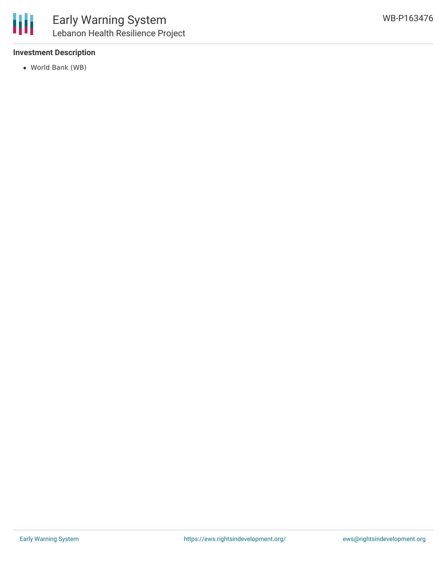

#### **Investment Description**

World Bank (WB)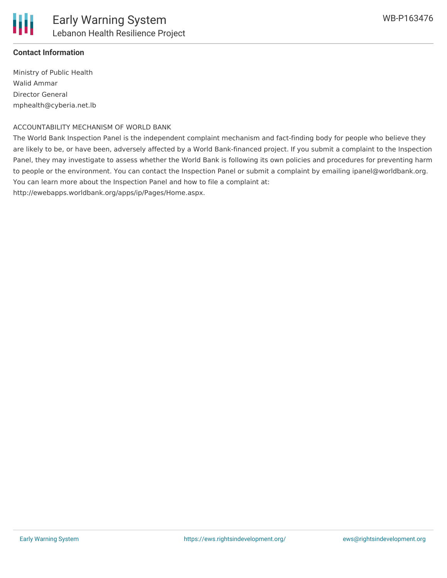

#### **Contact Information**

Ministry of Public Health Walid Ammar Director General mphealth@cyberia.net.lb

#### ACCOUNTABILITY MECHANISM OF WORLD BANK

The World Bank Inspection Panel is the independent complaint mechanism and fact-finding body for people who believe they are likely to be, or have been, adversely affected by a World Bank-financed project. If you submit a complaint to the Inspection Panel, they may investigate to assess whether the World Bank is following its own policies and procedures for preventing harm to people or the environment. You can contact the Inspection Panel or submit a complaint by emailing ipanel@worldbank.org. You can learn more about the Inspection Panel and how to file a complaint at: http://ewebapps.worldbank.org/apps/ip/Pages/Home.aspx.